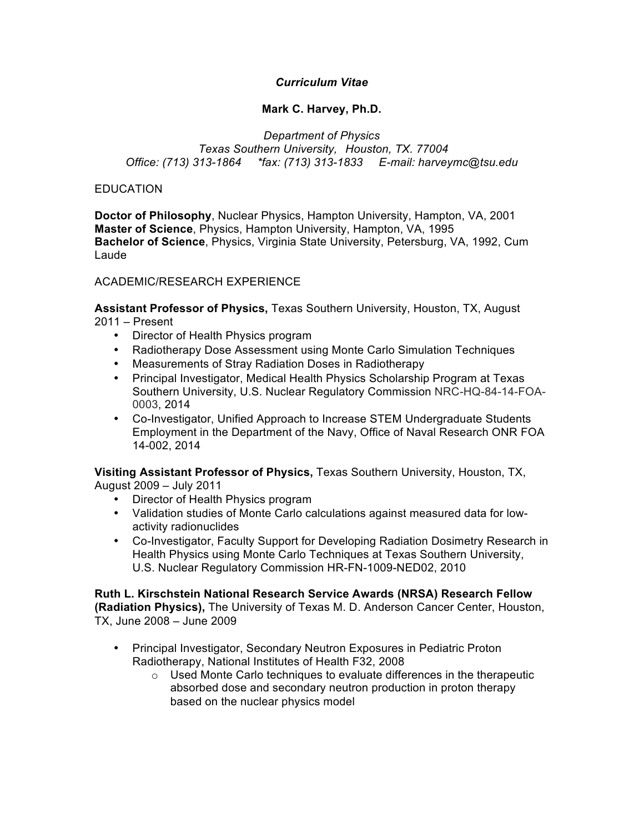# *Curriculum Vitae*

# **Mark C. Harvey, Ph.D.**

*Department of Physics Texas Southern University, Houston, TX. 77004 Office: (713) 313-1864 \*fax: (713) 313-1833 E-mail: harveymc@tsu.edu*

## **EDUCATION**

**Doctor of Philosophy**, Nuclear Physics, Hampton University, Hampton, VA, 2001 **Master of Science**, Physics, Hampton University, Hampton, VA, 1995 **Bachelor of Science**, Physics, Virginia State University, Petersburg, VA, 1992, Cum Laude

### ACADEMIC/RESEARCH EXPERIENCE

**Assistant Professor of Physics,** Texas Southern University, Houston, TX, August 2011 – Present

- Director of Health Physics program
- Radiotherapy Dose Assessment using Monte Carlo Simulation Techniques
- Measurements of Stray Radiation Doses in Radiotherapy
- Principal Investigator, Medical Health Physics Scholarship Program at Texas Southern University, U.S. Nuclear Regulatory Commission NRC-HQ-84-14-FOA-0003, 2014
- Co-Investigator, Unified Approach to Increase STEM Undergraduate Students Employment in the Department of the Navy, Office of Naval Research ONR FOA 14-002, 2014

**Visiting Assistant Professor of Physics,** Texas Southern University, Houston, TX, August 2009 – July 2011

- Director of Health Physics program
- Validation studies of Monte Carlo calculations against measured data for lowactivity radionuclides
- Co-Investigator, Faculty Support for Developing Radiation Dosimetry Research in Health Physics using Monte Carlo Techniques at Texas Southern University, U.S. Nuclear Regulatory Commission HR-FN-1009-NED02, 2010

### **Ruth L. Kirschstein National Research Service Awards (NRSA) Research Fellow**

**(Radiation Physics),** The University of Texas M. D. Anderson Cancer Center, Houston, TX, June 2008 – June 2009

- Principal Investigator, Secondary Neutron Exposures in Pediatric Proton Radiotherapy, National Institutes of Health F32, 2008
	- $\circ$  Used Monte Carlo techniques to evaluate differences in the therapeutic absorbed dose and secondary neutron production in proton therapy based on the nuclear physics model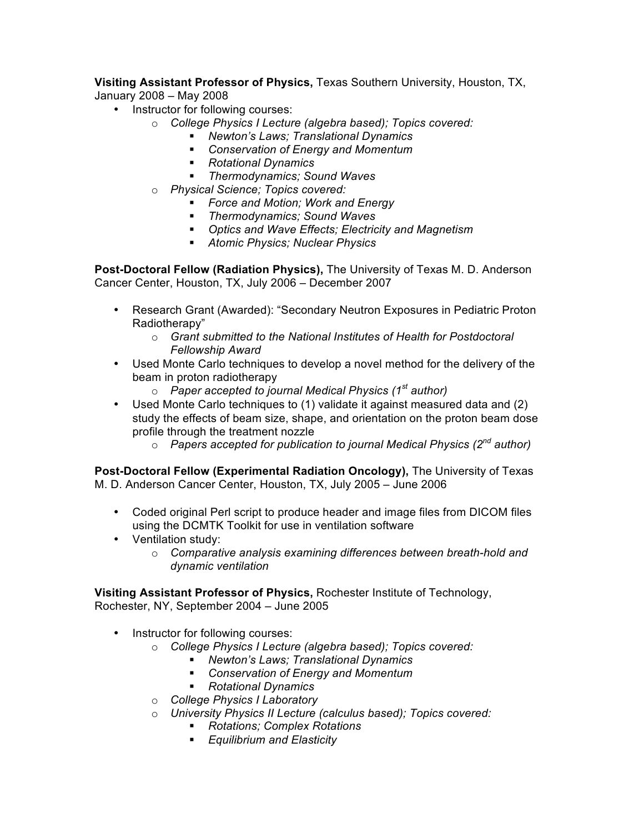**Visiting Assistant Professor of Physics,** Texas Southern University, Houston, TX,

January 2008 – May 2008

- Instructor for following courses:
	- o *College Physics I Lecture (algebra based); Topics covered:*
		- *Newton's Laws; Translational Dynamics*
		- *Conservation of Energy and Momentum*
		- *Rotational Dynamics*
		- *Thermodynamics; Sound Waves*
	- o *Physical Science; Topics covered:*
		- *Force and Motion; Work and Energy*
		- *Thermodynamics; Sound Waves*
		- *Optics and Wave Effects; Electricity and Magnetism*
		- *Atomic Physics; Nuclear Physics*

**Post-Doctoral Fellow (Radiation Physics),** The University of Texas M. D. Anderson Cancer Center, Houston, TX, July 2006 – December 2007

- Research Grant (Awarded): "Secondary Neutron Exposures in Pediatric Proton Radiotherapy"
	- o *Grant submitted to the National Institutes of Health for Postdoctoral Fellowship Award*
- Used Monte Carlo techniques to develop a novel method for the delivery of the beam in proton radiotherapy
	- o *Paper accepted to journal Medical Physics (1st author)*
- Used Monte Carlo techniques to (1) validate it against measured data and (2) study the effects of beam size, shape, and orientation on the proton beam dose profile through the treatment nozzle
	- o *Papers accepted for publication to journal Medical Physics (2nd author)*

**Post-Doctoral Fellow (Experimental Radiation Oncology),** The University of Texas M. D. Anderson Cancer Center, Houston, TX, July 2005 – June 2006

- Coded original Perl script to produce header and image files from DICOM files using the DCMTK Toolkit for use in ventilation software
- Ventilation study:
	- o *Comparative analysis examining differences between breath-hold and dynamic ventilation*

**Visiting Assistant Professor of Physics,** Rochester Institute of Technology, Rochester, NY, September 2004 – June 2005

- Instructor for following courses:
	- o *College Physics I Lecture (algebra based); Topics covered:*
		- *Newton's Laws; Translational Dynamics*
		- *Conservation of Energy and Momentum*
		- *Rotational Dynamics*
	- o *College Physics I Laboratory*
	- o *University Physics II Lecture (calculus based); Topics covered:*
		- *Rotations; Complex Rotations*
		- *Equilibrium and Elasticity*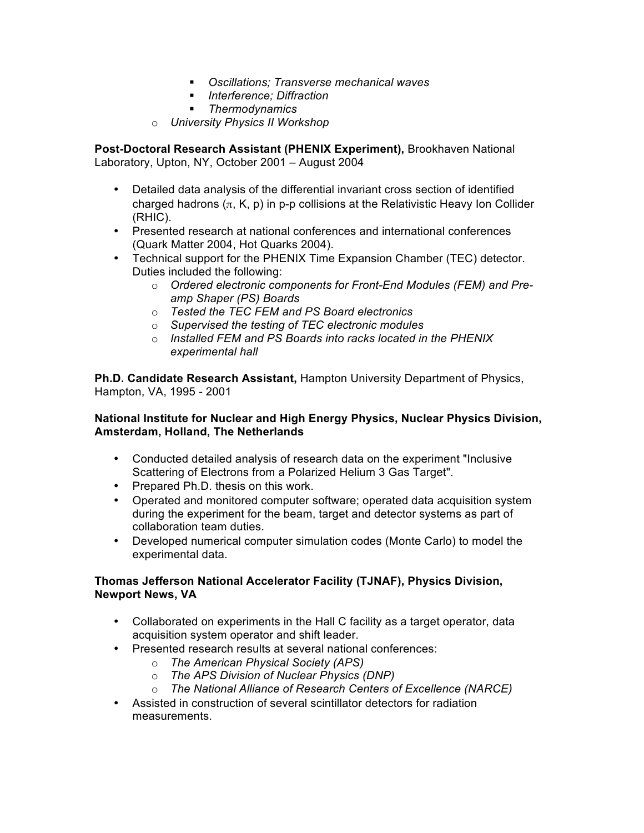- *Oscillations; Transverse mechanical waves*
- *Interference; Diffraction*
- *Thermodynamics*
- o *University Physics II Workshop*

**Post-Doctoral Research Assistant (PHENIX Experiment),** Brookhaven National Laboratory, Upton, NY, October 2001 – August 2004

- Detailed data analysis of the differential invariant cross section of identified charged hadrons  $(\pi, K, p)$  in p-p collisions at the Relativistic Heavy Ion Collider (RHIC).
- Presented research at national conferences and international conferences (Quark Matter 2004, Hot Quarks 2004).
- Technical support for the PHENIX Time Expansion Chamber (TEC) detector. Duties included the following:
	- o *Ordered electronic components for Front-End Modules (FEM) and Preamp Shaper (PS) Boards*
	- o *Tested the TEC FEM and PS Board electronics*
	- o *Supervised the testing of TEC electronic modules*
	- o *Installed FEM and PS Boards into racks located in the PHENIX experimental hall*

**Ph.D. Candidate Research Assistant,** Hampton University Department of Physics, Hampton, VA, 1995 - 2001

## **National Institute for Nuclear and High Energy Physics, Nuclear Physics Division, Amsterdam, Holland, The Netherlands**

- Conducted detailed analysis of research data on the experiment "Inclusive Scattering of Electrons from a Polarized Helium 3 Gas Target".
- Prepared Ph.D. thesis on this work.
- Operated and monitored computer software; operated data acquisition system during the experiment for the beam, target and detector systems as part of collaboration team duties.
- Developed numerical computer simulation codes (Monte Carlo) to model the experimental data.

# **Thomas Jefferson National Accelerator Facility (TJNAF), Physics Division, Newport News, VA**

- Collaborated on experiments in the Hall C facility as a target operator, data acquisition system operator and shift leader.
- Presented research results at several national conferences:
	- o *The American Physical Society (APS)*
	- o *The APS Division of Nuclear Physics (DNP)*
	- o *The National Alliance of Research Centers of Excellence (NARCE)*
- Assisted in construction of several scintillator detectors for radiation measurements.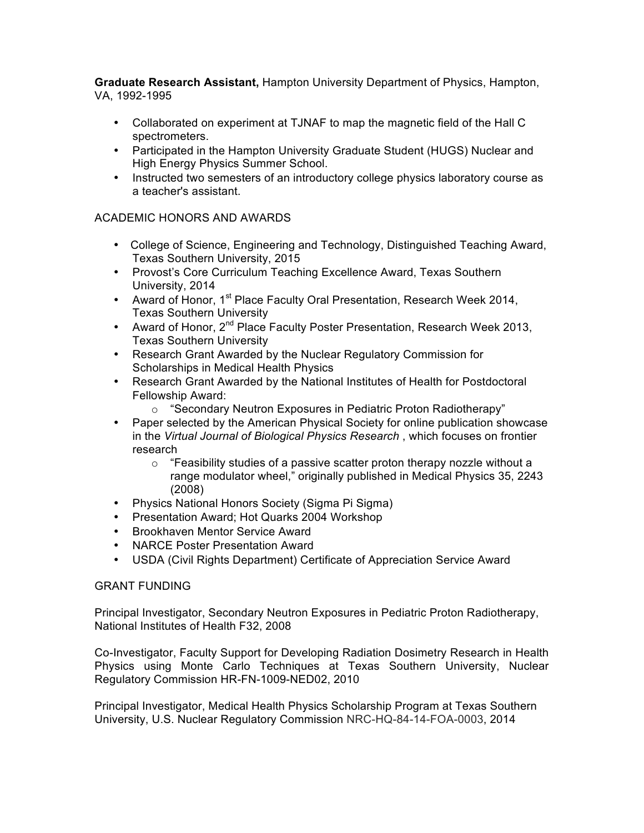**Graduate Research Assistant,** Hampton University Department of Physics, Hampton, VA, 1992-1995

- Collaborated on experiment at TJNAF to map the magnetic field of the Hall C spectrometers.
- Participated in the Hampton University Graduate Student (HUGS) Nuclear and High Energy Physics Summer School.
- Instructed two semesters of an introductory college physics laboratory course as a teacher's assistant.

# ACADEMIC HONORS AND AWARDS

- College of Science, Engineering and Technology, Distinguished Teaching Award, Texas Southern University, 2015
- Provost's Core Curriculum Teaching Excellence Award, Texas Southern University, 2014
- Award of Honor, 1<sup>st</sup> Place Faculty Oral Presentation, Research Week 2014, Texas Southern University
- Award of Honor, 2<sup>nd</sup> Place Faculty Poster Presentation, Research Week 2013, Texas Southern University
- Research Grant Awarded by the Nuclear Regulatory Commission for Scholarships in Medical Health Physics
- Research Grant Awarded by the National Institutes of Health for Postdoctoral Fellowship Award:
	- o "Secondary Neutron Exposures in Pediatric Proton Radiotherapy"
- Paper selected by the American Physical Society for online publication showcase in the *Virtual Journal of Biological Physics Research* , which focuses on frontier research
	- o "Feasibility studies of a passive scatter proton therapy nozzle without a range modulator wheel," originally published in Medical Physics 35, 2243 (2008)
- Physics National Honors Society (Sigma Pi Sigma)
- Presentation Award; Hot Quarks 2004 Workshop
- Brookhaven Mentor Service Award
- NARCE Poster Presentation Award
- USDA (Civil Rights Department) Certificate of Appreciation Service Award

# GRANT FUNDING

Principal Investigator, Secondary Neutron Exposures in Pediatric Proton Radiotherapy, National Institutes of Health F32, 2008

Co-Investigator, Faculty Support for Developing Radiation Dosimetry Research in Health Physics using Monte Carlo Techniques at Texas Southern University, Nuclear Regulatory Commission HR-FN-1009-NED02, 2010

Principal Investigator, Medical Health Physics Scholarship Program at Texas Southern University, U.S. Nuclear Regulatory Commission NRC-HQ-84-14-FOA-0003, 2014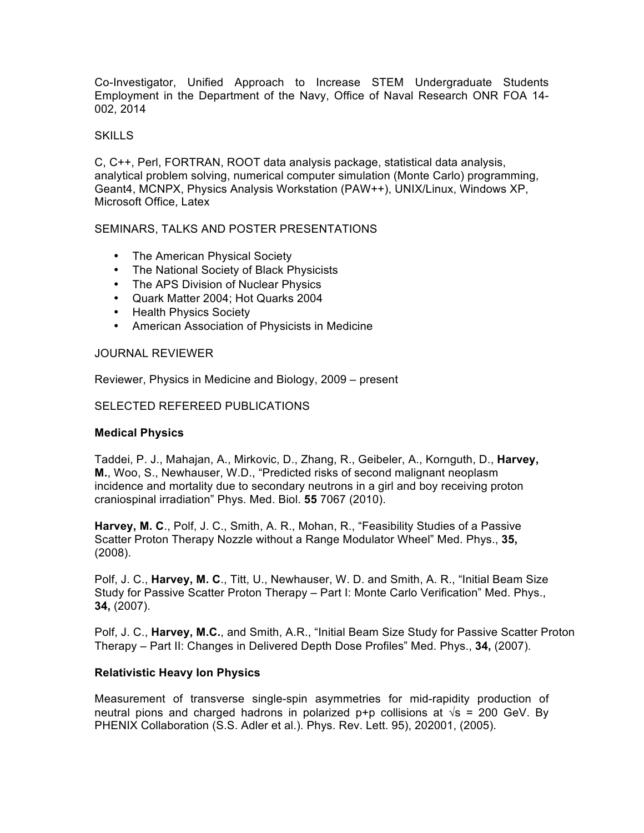Co-Investigator, Unified Approach to Increase STEM Undergraduate Students Employment in the Department of the Navy, Office of Naval Research ONR FOA 14- 002, 2014

### **SKILLS**

C, C++, Perl, FORTRAN, ROOT data analysis package, statistical data analysis, analytical problem solving, numerical computer simulation (Monte Carlo) programming, Geant4, MCNPX, Physics Analysis Workstation (PAW++), UNIX/Linux, Windows XP, Microsoft Office, Latex

### SEMINARS, TALKS AND POSTER PRESENTATIONS

- The American Physical Society
- The National Society of Black Physicists
- The APS Division of Nuclear Physics
- Quark Matter 2004; Hot Quarks 2004
- Health Physics Society
- American Association of Physicists in Medicine

### JOURNAL REVIEWER

Reviewer, Physics in Medicine and Biology, 2009 – present

#### SELECTED REFEREED PUBLICATIONS

### **Medical Physics**

Taddei, P. J., Mahajan, A., Mirkovic, D., Zhang, R., Geibeler, A., Kornguth, D., **Harvey, M.**, Woo, S., Newhauser, W.D., "Predicted risks of second malignant neoplasm incidence and mortality due to secondary neutrons in a girl and boy receiving proton craniospinal irradiation" Phys. Med. Biol. **55** 7067 (2010).

**Harvey, M. C**., Polf, J. C., Smith, A. R., Mohan, R., "Feasibility Studies of a Passive Scatter Proton Therapy Nozzle without a Range Modulator Wheel" Med. Phys., **35,**  (2008).

Polf, J. C., **Harvey, M. C**., Titt, U., Newhauser, W. D. and Smith, A. R., "Initial Beam Size Study for Passive Scatter Proton Therapy – Part I: Monte Carlo Verification" Med. Phys., **34,** (2007).

Polf, J. C., **Harvey, M.C.**, and Smith, A.R., "Initial Beam Size Study for Passive Scatter Proton Therapy – Part II: Changes in Delivered Depth Dose Profiles" Med. Phys., **34,** (2007).

### **Relativistic Heavy Ion Physics**

Measurement of transverse single-spin asymmetries for mid-rapidity production of neutral pions and charged hadrons in polarized p+p collisions at  $\sqrt{s}$  = 200 GeV. By PHENIX Collaboration (S.S. Adler et al.). Phys. Rev. Lett. 95), 202001, (2005).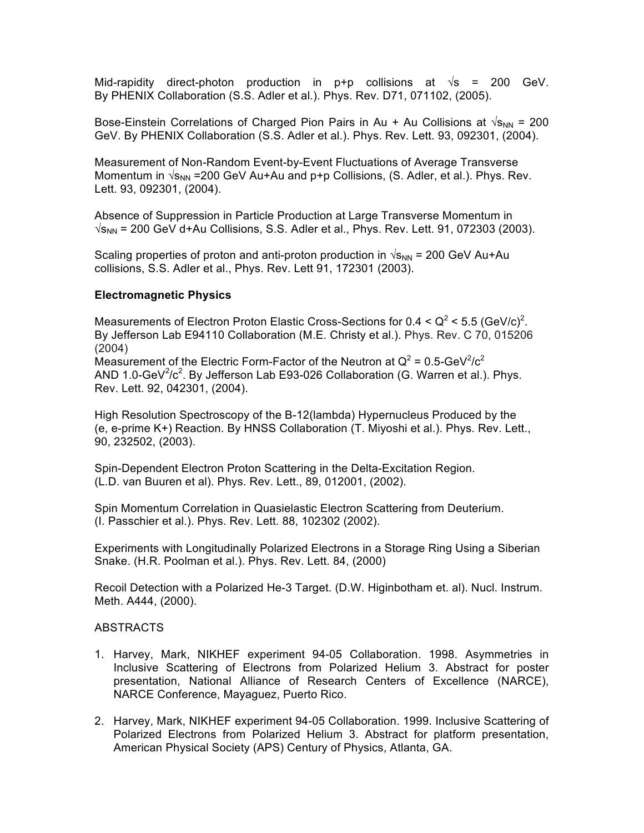Mid-rapidity direct-photon production in p+p collisions at  $\sqrt{s}$  = 200 GeV. By PHENIX Collaboration (S.S. Adler et al.). Phys. Rev. D71, 071102, (2005).

Bose-Einstein Correlations of Charged Pion Pairs in Au + Au Collisions at  $\sqrt{s_{NN}}$  = 200 GeV. By PHENIX Collaboration (S.S. Adler et al.). Phys. Rev. Lett. 93, 092301, (2004).

Measurement of Non-Random Event-by-Event Fluctuations of Average Transverse Momentum in  $\sqrt{s_{NN}}$  =200 GeV Au+Au and p+p Collisions, (S. Adler, et al.). Phys. Rev. Lett. 93, 092301, (2004).

Absence of Suppression in Particle Production at Large Transverse Momentum in  $\sqrt{s_{NN}}$  = 200 GeV d+Au Collisions, S.S. Adler et al., Phys. Rev. Lett. 91, 072303 (2003).

Scaling properties of proton and anti-proton production in  $\sqrt{s_{NN}}$  = 200 GeV Au+Au collisions, S.S. Adler et al., Phys. Rev. Lett 91, 172301 (2003).

### **Electromagnetic Physics**

Measurements of Electron Proton Elastic Cross-Sections for 0.4 <  $Q^2$  < 5.5 (GeV/c)<sup>2</sup>. By Jefferson Lab E94110 Collaboration (M.E. Christy et al.). Phys. Rev. C 70, 015206 (2004) Measurement of the Electric Form-Factor of the Neutron at  $Q^2 = 0.5$ -GeV<sup>2</sup>/c<sup>2</sup> AND 1.0-GeV $2/c^2$ . By Jefferson Lab E93-026 Collaboration (G. Warren et al.). Phys. Rev. Lett. 92, 042301, (2004).

High Resolution Spectroscopy of the B-12(lambda) Hypernucleus Produced by the (e, e-prime K+) Reaction. By HNSS Collaboration (T. Miyoshi et al.). Phys. Rev. Lett., 90, 232502, (2003).

Spin-Dependent Electron Proton Scattering in the Delta-Excitation Region. (L.D. van Buuren et al). Phys. Rev. Lett., 89, 012001, (2002).

Spin Momentum Correlation in Quasielastic Electron Scattering from Deuterium. (I. Passchier et al.). Phys. Rev. Lett. 88, 102302 (2002).

Experiments with Longitudinally Polarized Electrons in a Storage Ring Using a Siberian Snake. (H.R. Poolman et al.). Phys. Rev. Lett. 84, (2000)

Recoil Detection with a Polarized He-3 Target. (D.W. Higinbotham et. al). Nucl. Instrum. Meth. A444, (2000).

### ABSTRACTS

- 1. Harvey, Mark, NIKHEF experiment 94-05 Collaboration. 1998. Asymmetries in Inclusive Scattering of Electrons from Polarized Helium 3. Abstract for poster presentation, National Alliance of Research Centers of Excellence (NARCE), NARCE Conference, Mayaguez, Puerto Rico.
- 2. Harvey, Mark, NIKHEF experiment 94-05 Collaboration. 1999. Inclusive Scattering of Polarized Electrons from Polarized Helium 3. Abstract for platform presentation, American Physical Society (APS) Century of Physics, Atlanta, GA.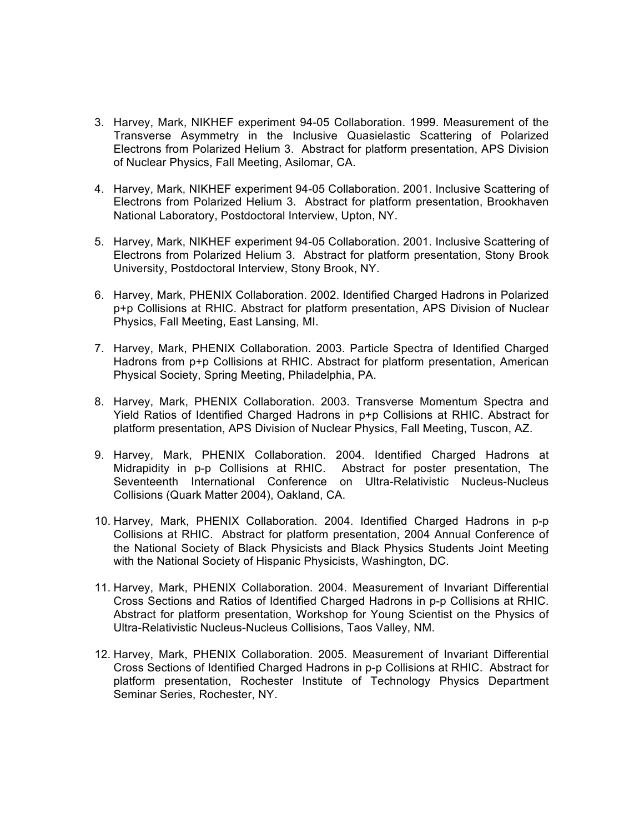- 3. Harvey, Mark, NIKHEF experiment 94-05 Collaboration. 1999. Measurement of the Transverse Asymmetry in the Inclusive Quasielastic Scattering of Polarized Electrons from Polarized Helium 3. Abstract for platform presentation, APS Division of Nuclear Physics, Fall Meeting, Asilomar, CA.
- 4. Harvey, Mark, NIKHEF experiment 94-05 Collaboration. 2001. Inclusive Scattering of Electrons from Polarized Helium 3. Abstract for platform presentation, Brookhaven National Laboratory, Postdoctoral Interview, Upton, NY.
- 5. Harvey, Mark, NIKHEF experiment 94-05 Collaboration. 2001. Inclusive Scattering of Electrons from Polarized Helium 3. Abstract for platform presentation, Stony Brook University, Postdoctoral Interview, Stony Brook, NY.
- 6. Harvey, Mark, PHENIX Collaboration. 2002. Identified Charged Hadrons in Polarized p+p Collisions at RHIC. Abstract for platform presentation, APS Division of Nuclear Physics, Fall Meeting, East Lansing, MI.
- 7. Harvey, Mark, PHENIX Collaboration. 2003. Particle Spectra of Identified Charged Hadrons from p+p Collisions at RHIC. Abstract for platform presentation, American Physical Society, Spring Meeting, Philadelphia, PA.
- 8. Harvey, Mark, PHENIX Collaboration. 2003. Transverse Momentum Spectra and Yield Ratios of Identified Charged Hadrons in p+p Collisions at RHIC. Abstract for platform presentation, APS Division of Nuclear Physics, Fall Meeting, Tuscon, AZ.
- 9. Harvey, Mark, PHENIX Collaboration. 2004. Identified Charged Hadrons at Midrapidity in p-p Collisions at RHIC. Abstract for poster presentation, The Seventeenth International Conference on Ultra-Relativistic Nucleus-Nucleus Collisions (Quark Matter 2004), Oakland, CA.
- 10. Harvey, Mark, PHENIX Collaboration. 2004. Identified Charged Hadrons in p-p Collisions at RHIC. Abstract for platform presentation, 2004 Annual Conference of the National Society of Black Physicists and Black Physics Students Joint Meeting with the National Society of Hispanic Physicists, Washington, DC.
- 11. Harvey, Mark, PHENIX Collaboration. 2004. Measurement of Invariant Differential Cross Sections and Ratios of Identified Charged Hadrons in p-p Collisions at RHIC. Abstract for platform presentation, Workshop for Young Scientist on the Physics of Ultra-Relativistic Nucleus-Nucleus Collisions, Taos Valley, NM.
- 12. Harvey, Mark, PHENIX Collaboration. 2005. Measurement of Invariant Differential Cross Sections of Identified Charged Hadrons in p-p Collisions at RHIC. Abstract for platform presentation, Rochester Institute of Technology Physics Department Seminar Series, Rochester, NY.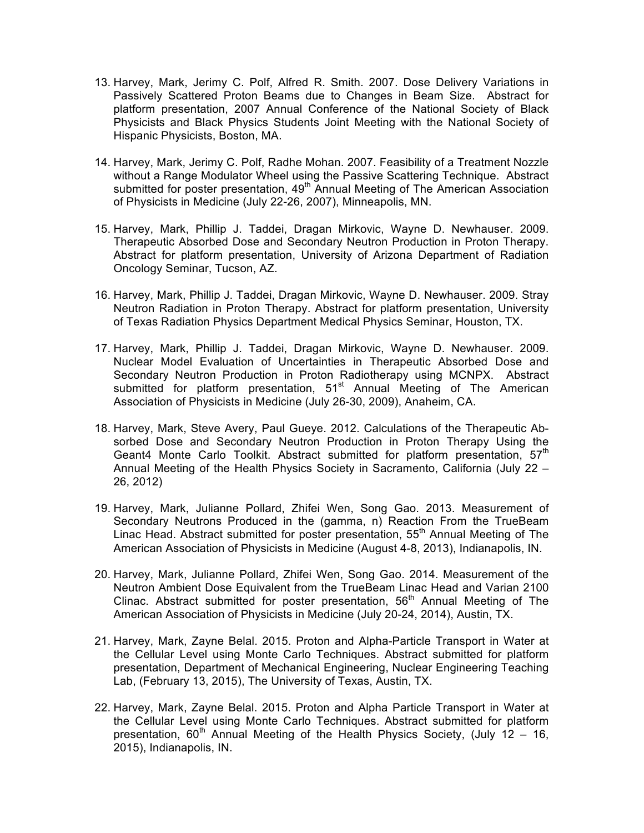- 13. Harvey, Mark, Jerimy C. Polf, Alfred R. Smith. 2007. Dose Delivery Variations in Passively Scattered Proton Beams due to Changes in Beam Size. Abstract for platform presentation, 2007 Annual Conference of the National Society of Black Physicists and Black Physics Students Joint Meeting with the National Society of Hispanic Physicists, Boston, MA.
- 14. Harvey, Mark, Jerimy C. Polf, Radhe Mohan. 2007. Feasibility of a Treatment Nozzle without a Range Modulator Wheel using the Passive Scattering Technique. Abstract submitted for poster presentation, 49<sup>th</sup> Annual Meeting of The American Association of Physicists in Medicine (July 22-26, 2007), Minneapolis, MN.
- 15. Harvey, Mark, Phillip J. Taddei, Dragan Mirkovic, Wayne D. Newhauser. 2009. Therapeutic Absorbed Dose and Secondary Neutron Production in Proton Therapy. Abstract for platform presentation, University of Arizona Department of Radiation Oncology Seminar, Tucson, AZ.
- 16. Harvey, Mark, Phillip J. Taddei, Dragan Mirkovic, Wayne D. Newhauser. 2009. Stray Neutron Radiation in Proton Therapy. Abstract for platform presentation, University of Texas Radiation Physics Department Medical Physics Seminar, Houston, TX.
- 17. Harvey, Mark, Phillip J. Taddei, Dragan Mirkovic, Wayne D. Newhauser. 2009. Nuclear Model Evaluation of Uncertainties in Therapeutic Absorbed Dose and Secondary Neutron Production in Proton Radiotherapy using MCNPX. Abstract submitted for platform presentation,  $51<sup>st</sup>$  Annual Meeting of The American Association of Physicists in Medicine (July 26-30, 2009), Anaheim, CA.
- 18. Harvey, Mark, Steve Avery, Paul Gueye. 2012. Calculations of the Therapeutic Absorbed Dose and Secondary Neutron Production in Proton Therapy Using the Geant4 Monte Carlo Toolkit. Abstract submitted for platform presentation. 57<sup>th</sup> Annual Meeting of the Health Physics Society in Sacramento, California (July 22 – 26, 2012)
- 19. Harvey, Mark, Julianne Pollard, Zhifei Wen, Song Gao. 2013. Measurement of Secondary Neutrons Produced in the (gamma, n) Reaction From the TrueBeam Linac Head. Abstract submitted for poster presentation, 55<sup>th</sup> Annual Meeting of The American Association of Physicists in Medicine (August 4-8, 2013), Indianapolis, IN.
- 20. Harvey, Mark, Julianne Pollard, Zhifei Wen, Song Gao. 2014. Measurement of the Neutron Ambient Dose Equivalent from the TrueBeam Linac Head and Varian 2100 Clinac. Abstract submitted for poster presentation,  $56<sup>th</sup>$  Annual Meeting of The American Association of Physicists in Medicine (July 20-24, 2014), Austin, TX.
- 21. Harvey, Mark, Zayne Belal. 2015. Proton and Alpha-Particle Transport in Water at the Cellular Level using Monte Carlo Techniques. Abstract submitted for platform presentation, Department of Mechanical Engineering, Nuclear Engineering Teaching Lab, (February 13, 2015), The University of Texas, Austin, TX.
- 22. Harvey, Mark, Zayne Belal. 2015. Proton and Alpha Particle Transport in Water at the Cellular Level using Monte Carlo Techniques. Abstract submitted for platform presentation,  $60<sup>th</sup>$  Annual Meeting of the Health Physics Society, (July 12 – 16, 2015), Indianapolis, IN.